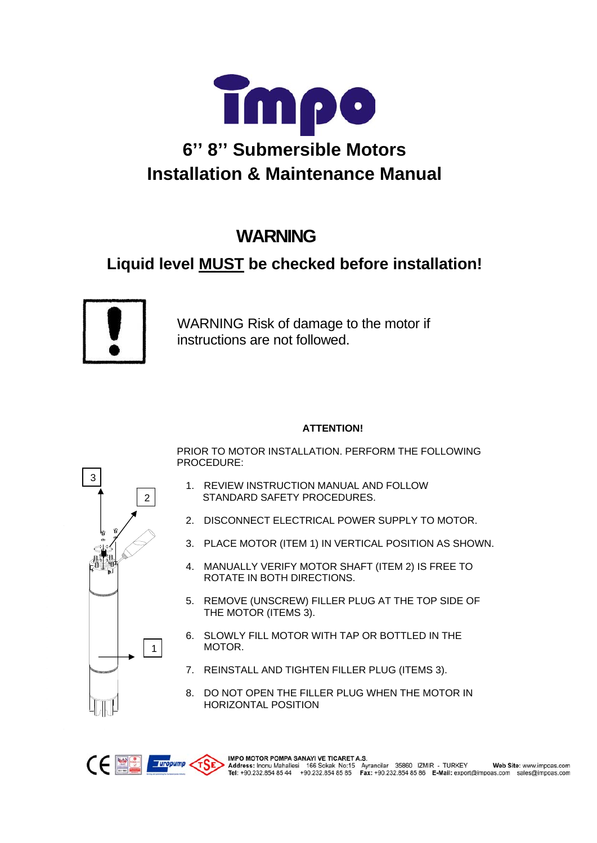

# **WARNING**

# **Liquid level MUST be checked before installation!**



WARNING Risk of damage to the motor if instructions are not followed.

#### **ATTENTION!**

PRIOR TO MOTOR INSTALLATION. PERFORM THE FOLLOWING PROCEDURE:

- 1. REVIEW INSTRUCTION MANUAL AND FOLLOW STANDARD SAFETY PROCEDURES.
- 2. DISCONNECT ELECTRICAL POWER SUPPLY TO MOTOR.
- 3. PLACE MOTOR (ITEM 1) IN VERTICAL POSITION AS SHOWN.
- 4. MANUALLY VERIFY MOTOR SHAFT (ITEM 2) IS FREE TO ROTATE IN BOTH DIRECTIONS.
- 5. REMOVE (UNSCREW) FILLER PLUG AT THE TOP SIDE OF THE MOTOR (ITEMS 3).
- 6. SLOWLY FILL MOTOR WITH TAP OR BOTTLED IN THE MOTOR.
- 7. REINSTALL AND TIGHTEN FILLER PLUG (ITEMS 3).
- 8. DO NOT OPEN THE FILLER PLUG WHEN THE MOTOR IN HORIZONTAL POSITION

IMPO MOTOR POMPA SANAYI VE TICARET A.S.

MPO MOTOR POMPA SANAYI VE TICARE I A.S.<br>Address: Inonu Mahallesi 166 Sokak No:15 Ayrancilar 35860 IZMIR - TURKEY Web Site: www.impoas.com<br>Tel: +90.232.854 85 44 +90.232.854 85 85 Fax: +90.232.854 85 86 E-Mail: export@impoa

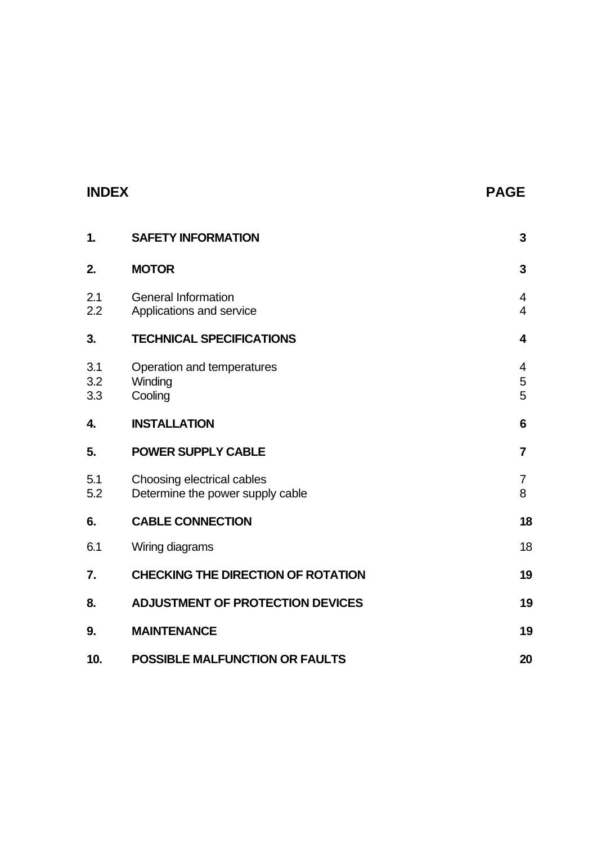## **INDEX PAGE**

| 1.                | <b>SAFETY INFORMATION</b>                                      | 3                   |
|-------------------|----------------------------------------------------------------|---------------------|
| 2.                | <b>MOTOR</b>                                                   | 3                   |
| 2.1<br>2.2        | <b>General Information</b><br>Applications and service         | 4<br>$\overline{4}$ |
| 3.                | <b>TECHNICAL SPECIFICATIONS</b>                                | 4                   |
| 3.1<br>3.2<br>3.3 | Operation and temperatures<br>Winding<br>Cooling               | 4<br>5<br>5         |
| 4.                | <b>INSTALLATION</b>                                            | 6                   |
| 5.                | <b>POWER SUPPLY CABLE</b>                                      | $\overline{7}$      |
| 5.1<br>5.2        | Choosing electrical cables<br>Determine the power supply cable | $\overline{7}$<br>8 |
| 6.                | <b>CABLE CONNECTION</b>                                        | 18                  |
| 6.1               | Wiring diagrams                                                | 18                  |
| 7.                | <b>CHECKING THE DIRECTION OF ROTATION</b>                      | 19                  |
| 8.                | <b>ADJUSTMENT OF PROTECTION DEVICES</b>                        | 19                  |
| 9.                | <b>MAINTENANCE</b>                                             | 19                  |
| 10.               | <b>POSSIBLE MALFUNCTION OR FAULTS</b>                          | 20                  |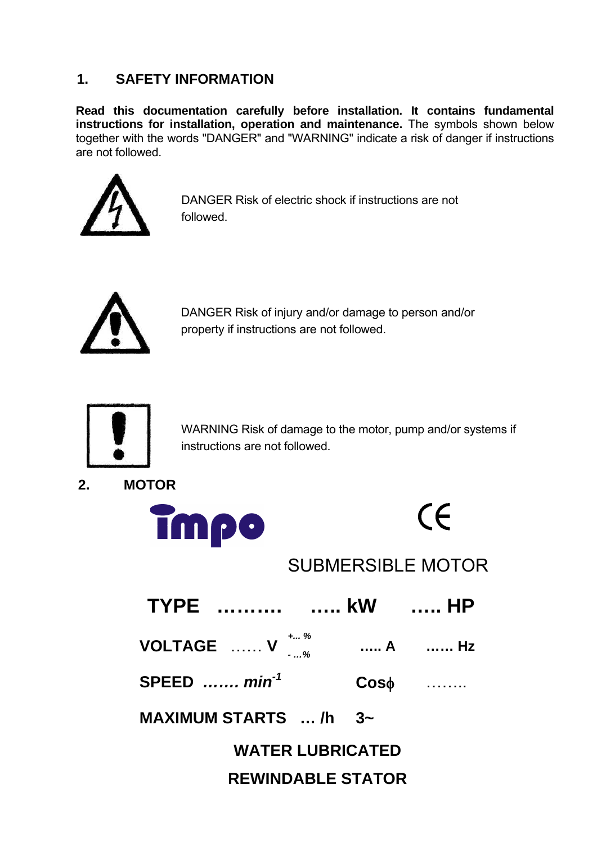# **1. SAFETY INFORMATION**

**Read this documentation carefully before installation. It contains fundamental instructions for installation, operation and maintenance.** The symbols shown below together with the words "DANGER" and "WARNING" indicate a risk of danger if instructions are not followed.



DANGER Risk of electric shock if instructions are not followed.



DANGER Risk of injury and/or damage to person and/or property if instructions are not followed.



WARNING Risk of damage to the motor, pump and/or systems if instructions are not followed.

**2. MOTOR** 





# SUBMERSIBLE MOTOR

| TYPE    kW     HP                                                                   |  |           |  |  |
|-------------------------------------------------------------------------------------|--|-----------|--|--|
| <b>VOLTAGE</b> $V \begin{matrix} * & * & * & * \\ * & * & * & * \end{matrix}$ A  Hz |  |           |  |  |
| SPEED $, min-1$                                                                     |  | $Cos\phi$ |  |  |
| MAXIMUM STARTS $$ /h $3-$                                                           |  |           |  |  |
| <b>WATER LUBRICATED</b>                                                             |  |           |  |  |

# **REWINDABLE STATOR**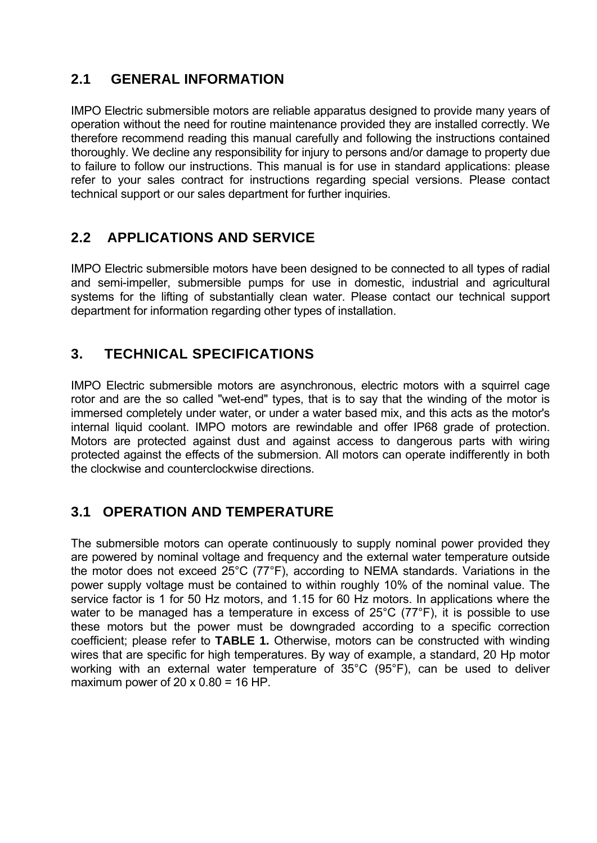# **2.1 GENERAL INFORMATION**

IMPO Electric submersible motors are reliable apparatus designed to provide many years of operation without the need for routine maintenance provided they are installed correctly. We therefore recommend reading this manual carefully and following the instructions contained thoroughly. We decline any responsibility for injury to persons and/or damage to property due to failure to follow our instructions. This manual is for use in standard applications: please refer to your sales contract for instructions regarding special versions. Please contact technical support or our sales department for further inquiries.

# **2.2 APPLICATIONS AND SERVICE**

IMPO Electric submersible motors have been designed to be connected to all types of radial and semi-impeller, submersible pumps for use in domestic, industrial and agricultural systems for the lifting of substantially clean water. Please contact our technical support department for information regarding other types of installation.

# **3. TECHNICAL SPECIFICATIONS**

IMPO Electric submersible motors are asynchronous, electric motors with a squirrel cage rotor and are the so called "wet-end" types, that is to say that the winding of the motor is immersed completely under water, or under a water based mix, and this acts as the motor's internal liquid coolant. IMPO motors are rewindable and offer IP68 grade of protection. Motors are protected against dust and against access to dangerous parts with wiring protected against the effects of the submersion. All motors can operate indifferently in both the clockwise and counterclockwise directions.

# **3.1 OPERATION AND TEMPERATURE**

The submersible motors can operate continuously to supply nominal power provided they are powered by nominal voltage and frequency and the external water temperature outside the motor does not exceed 25°C (77°F), according to NEMA standards. Variations in the power supply voltage must be contained to within roughly 10% of the nominal value. The service factor is 1 for 50 Hz motors, and 1.15 for 60 Hz motors. In applications where the water to be managed has a temperature in excess of 25°C (77°F), it is possible to use these motors but the power must be downgraded according to a specific correction coefficient; please refer to **TABLE 1.** Otherwise, motors can be constructed with winding wires that are specific for high temperatures. By way of example, a standard, 20 Hp motor working with an external water temperature of 35°C (95°F), can be used to deliver maximum power of  $20 \times 0.80 = 16$  HP.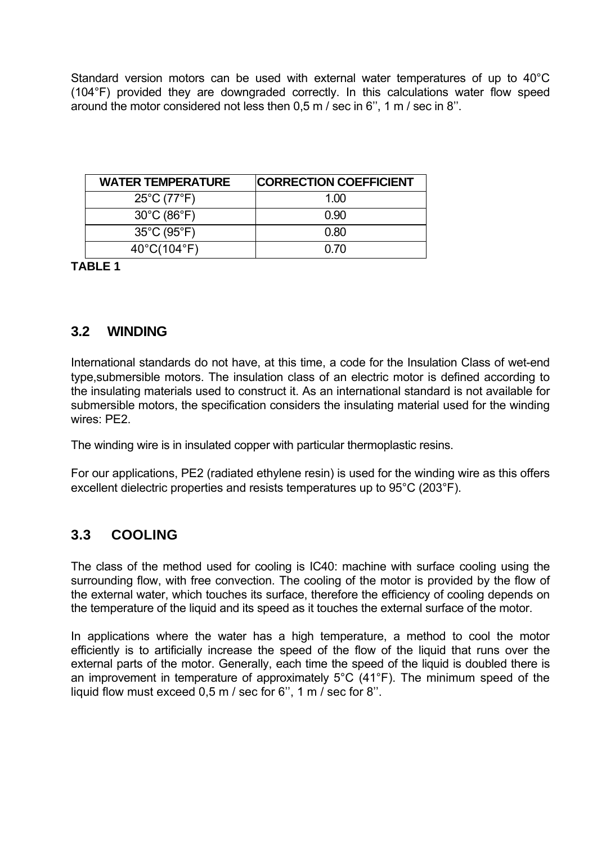Standard version motors can be used with external water temperatures of up to 40°C (104°F) provided they are downgraded correctly. In this calculations water flow speed around the motor considered not less then 0,5 m / sec in 6'', 1 m / sec in 8''.

| <b>WATER TEMPERATURE</b>         | <b>ICORRECTION COEFFICIENT</b> |
|----------------------------------|--------------------------------|
| $25^{\circ}$ C (77 $^{\circ}$ F) | 1.OO                           |
| $30^{\circ}$ C (86 $^{\circ}$ F) | 0.90                           |
| 35°C (95°F)                      | 0.80                           |
| $40^{\circ}$ C(104 $^{\circ}$ F) | 0.70                           |

**TABLE 1** 

## **3.2 WINDING**

International standards do not have, at this time, a code for the Insulation Class of wet-end type,submersible motors. The insulation class of an electric motor is defined according to the insulating materials used to construct it. As an international standard is not available for submersible motors, the specification considers the insulating material used for the winding wires: PE2.

The winding wire is in insulated copper with particular thermoplastic resins.

For our applications, PE2 (radiated ethylene resin) is used for the winding wire as this offers excellent dielectric properties and resists temperatures up to 95°C (203°F).

# **3.3 COOLING**

The class of the method used for cooling is IC40: machine with surface cooling using the surrounding flow, with free convection. The cooling of the motor is provided by the flow of the external water, which touches its surface, therefore the efficiency of cooling depends on the temperature of the liquid and its speed as it touches the external surface of the motor.

In applications where the water has a high temperature, a method to cool the motor efficiently is to artificially increase the speed of the flow of the liquid that runs over the external parts of the motor. Generally, each time the speed of the liquid is doubled there is an improvement in temperature of approximately 5°C (41°F). The minimum speed of the liquid flow must exceed 0,5 m / sec for 6'', 1 m / sec for 8''.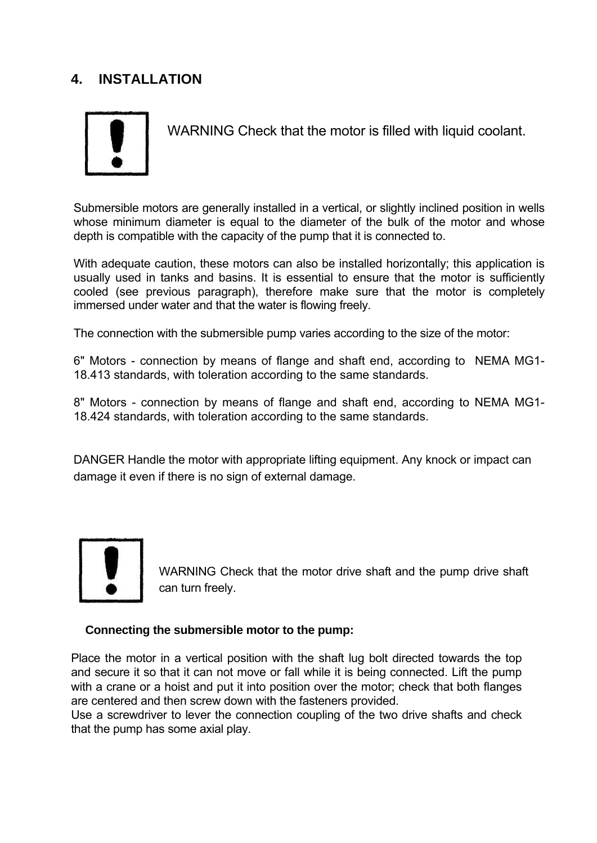# **4. INSTALLATION**



WARNING Check that the motor is filled with liquid coolant.

Submersible motors are generally installed in a vertical, or slightly inclined position in wells whose minimum diameter is equal to the diameter of the bulk of the motor and whose depth is compatible with the capacity of the pump that it is connected to.

With adequate caution, these motors can also be installed horizontally; this application is usually used in tanks and basins. It is essential to ensure that the motor is sufficiently cooled (see previous paragraph), therefore make sure that the motor is completely immersed under water and that the water is flowing freely.

The connection with the submersible pump varies according to the size of the motor:

6" Motors - connection by means of flange and shaft end, according to NEMA MG1- 18.413 standards, with toleration according to the same standards.

8" Motors - connection by means of flange and shaft end, according to NEMA MG1- 18.424 standards, with toleration according to the same standards.

DANGER Handle the motor with appropriate lifting equipment. Any knock or impact can damage it even if there is no sign of external damage.



WARNING Check that the motor drive shaft and the pump drive shaft can turn freely.

#### **Connecting the submersible motor to the pump:**

Place the motor in a vertical position with the shaft lug bolt directed towards the top and secure it so that it can not move or fall while it is being connected. Lift the pump with a crane or a hoist and put it into position over the motor; check that both flanges are centered and then screw down with the fasteners provided.

Use a screwdriver to lever the connection coupling of the two drive shafts and check that the pump has some axial play.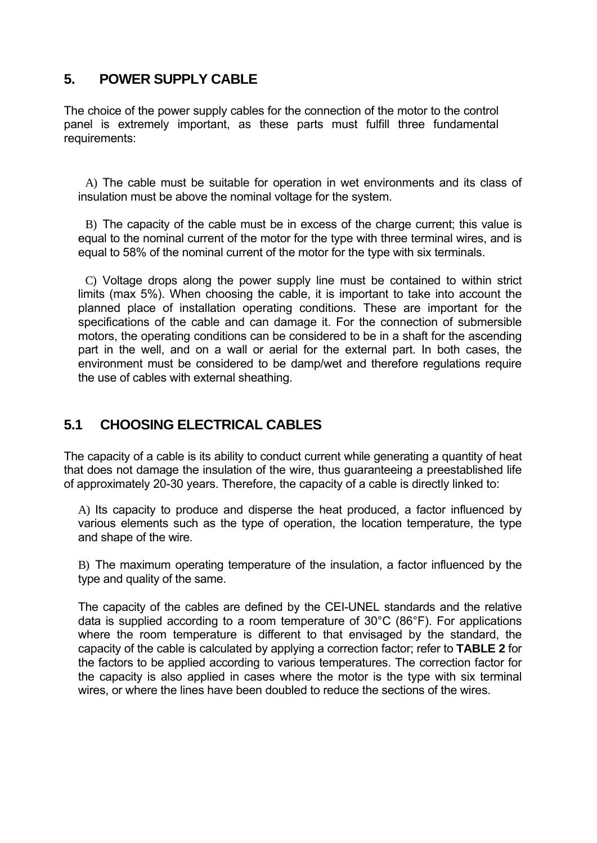# **5. POWER SUPPLY CABLE**

The choice of the power supply cables for the connection of the motor to the control panel is extremely important, as these parts must fulfill three fundamental requirements:

A) The cable must be suitable for operation in wet environments and its class of insulation must be above the nominal voltage for the system.

B) The capacity of the cable must be in excess of the charge current; this value is equal to the nominal current of the motor for the type with three terminal wires, and is equal to 58% of the nominal current of the motor for the type with six terminals.

C) Voltage drops along the power supply line must be contained to within strict limits (max 5%). When choosing the cable, it is important to take into account the planned place of installation operating conditions. These are important for the specifications of the cable and can damage it. For the connection of submersible motors, the operating conditions can be considered to be in a shaft for the ascending part in the well, and on a wall or aerial for the external part. In both cases, the environment must be considered to be damp/wet and therefore regulations require the use of cables with external sheathing.

# **5.1 CHOOSING ELECTRICAL CABLES**

The capacity of a cable is its ability to conduct current while generating a quantity of heat that does not damage the insulation of the wire, thus guaranteeing a preestablished life of approximately 20-30 years. Therefore, the capacity of a cable is directly linked to:

A) Its capacity to produce and disperse the heat produced, a factor influenced by various elements such as the type of operation, the location temperature, the type and shape of the wire.

B) The maximum operating temperature of the insulation, a factor influenced by the type and quality of the same.

The capacity of the cables are defined by the CEI-UNEL standards and the relative data is supplied according to a room temperature of 30°C (86°F). For applications where the room temperature is different to that envisaged by the standard, the capacity of the cable is calculated by applying a correction factor; refer to **TABLE 2** for the factors to be applied according to various temperatures. The correction factor for the capacity is also applied in cases where the motor is the type with six terminal wires, or where the lines have been doubled to reduce the sections of the wires.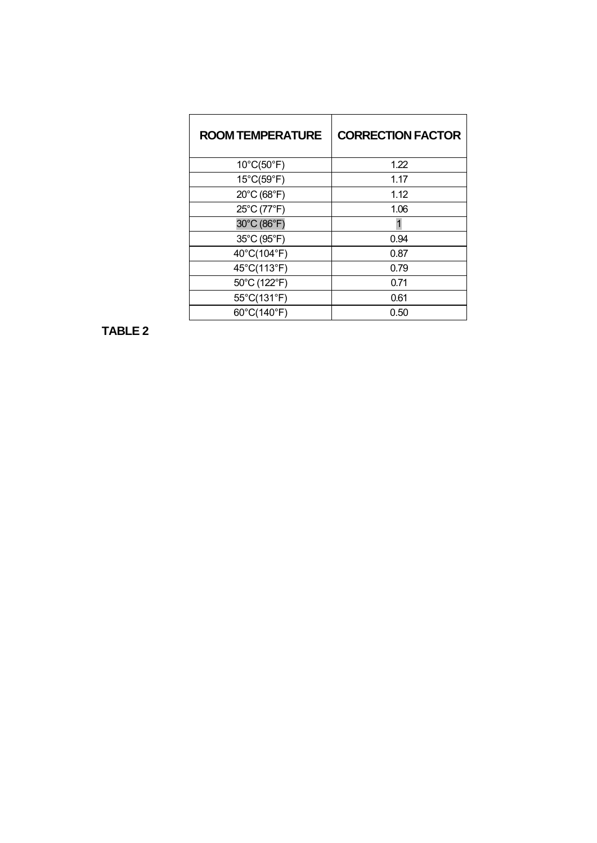| <b>ROOM TEMPERATURE</b> | <b>CORRECTION FACTOR</b> |
|-------------------------|--------------------------|
| 10°C(50°F)              | 1.22                     |
| 15°C(59°F)              | 1.17                     |
| 20°C (68°F)             | 1.12                     |
| 25°C (77°F)             | 1.06                     |
| 30°C (86°F)             |                          |
| 35°C (95°F)             | 0.94                     |
| 40°C(104°F)             | 0.87                     |
| 45°C(113°F)             | 0.79                     |
| 50°C (122°F)            | 0.71                     |
| 55°C(131°F)             | 0.61                     |
| 60°C(140°F)             | 0.50                     |

**TABLE 2**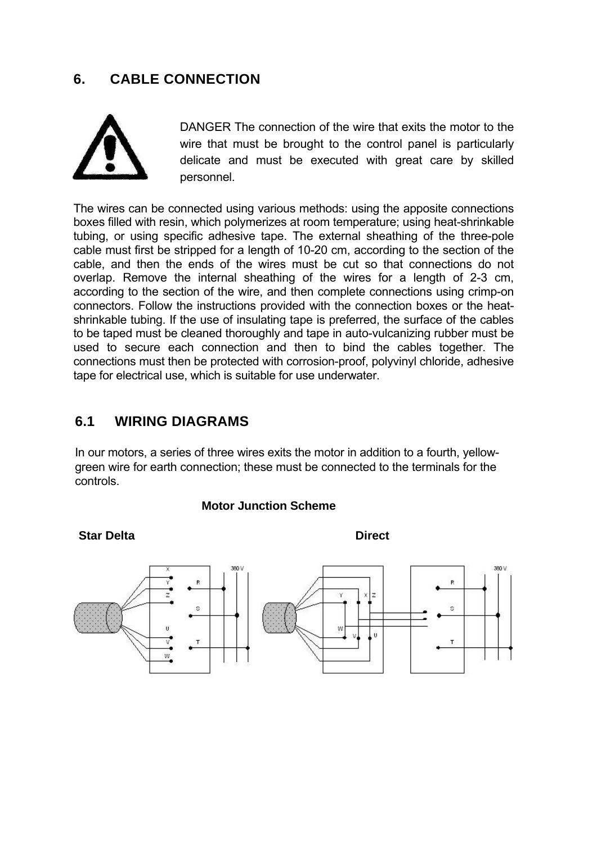# **6. CABLE CONNECTION**



DANGER The connection of the wire that exits the motor to the wire that must be brought to the control panel is particularly delicate and must be executed with great care by skilled personnel.

The wires can be connected using various methods: using the apposite connections boxes filled with resin, which polymerizes at room temperature; using heat-shrinkable tubing, or using specific adhesive tape. The external sheathing of the three-pole cable must first be stripped for a length of 10-20 cm, according to the section of the cable, and then the ends of the wires must be cut so that connections do not overlap. Remove the internal sheathing of the wires for a length of 2-3 cm, according to the section of the wire, and then complete connections using crimp-on connectors. Follow the instructions provided with the connection boxes or the heatshrinkable tubing. If the use of insulating tape is preferred, the surface of the cables to be taped must be cleaned thoroughly and tape in auto-vulcanizing rubber must be used to secure each connection and then to bind the cables together. The connections must then be protected with corrosion-proof, polyvinyl chloride, adhesive tape for electrical use, which is suitable for use underwater.

### **6.1 WIRING DIAGRAMS**

In our motors, a series of three wires exits the motor in addition to a fourth, yellowgreen wire for earth connection; these must be connected to the terminals for the controls.

#### **Motor Junction Scheme**

#### **Star Delta** Direct



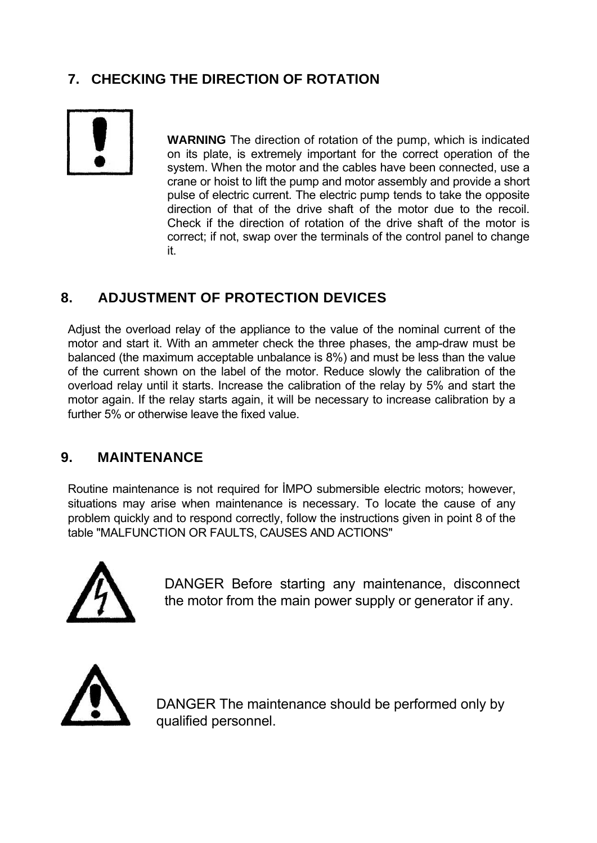# **7. CHECKING THE DIRECTION OF ROTATION**



**WARNING** The direction of rotation of the pump, which is indicated on its plate, is extremely important for the correct operation of the system. When the motor and the cables have been connected, use a crane or hoist to lift the pump and motor assembly and provide a short pulse of electric current. The electric pump tends to take the opposite direction of that of the drive shaft of the motor due to the recoil. Check if the direction of rotation of the drive shaft of the motor is correct; if not, swap over the terminals of the control panel to change it.

# **8. ADJUSTMENT OF PROTECTION DEVICES**

Adjust the overload relay of the appliance to the value of the nominal current of the motor and start it. With an ammeter check the three phases, the amp-draw must be balanced (the maximum acceptable unbalance is 8%) and must be less than the value of the current shown on the label of the motor. Reduce slowly the calibration of the overload relay until it starts. Increase the calibration of the relay by 5% and start the motor again. If the relay starts again, it will be necessary to increase calibration by a further 5% or otherwise leave the fixed value.

## **9. MAINTENANCE**

Routine maintenance is not required for İMPO submersible electric motors; however, situations may arise when maintenance is necessary. To locate the cause of any problem quickly and to respond correctly, follow the instructions given in point 8 of the table "MALFUNCTION OR FAULTS, CAUSES AND ACTIONS"



DANGER Before starting any maintenance, disconnect the motor from the main power supply or generator if any.



DANGER The maintenance should be performed only by qualified personnel.